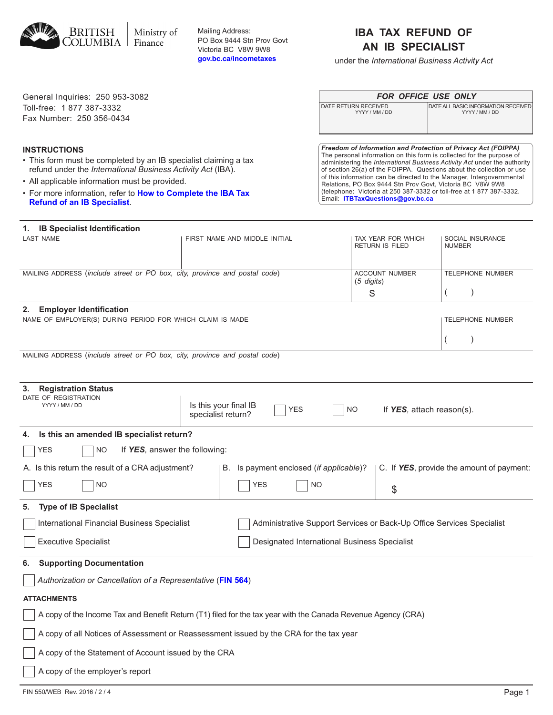A copy of the employer's report

| <b>INSTRUCTIONS</b><br>• This form must be completed by an IB specialist claiming a tax<br>refund under the International Business Activity Act (IBA).<br>• All applicable information must be provided.<br>• For more information, refer to How to Complete the IBA Tax<br><b>Refund of an IB Specialist.</b> |                                                                        |  | Freedom of Information and Protection of Privacy Act (FOIPPA)<br>The personal information on this form is collected for the purpose of<br>administering the International Business Activity Act under the authority<br>of section 26(a) of the FOIPPA. Questions about the collection or use<br>of this information can be directed to the Manager, Intergovernmental<br>Relations, PO Box 9444 Stn Prov Govt, Victoria BC V8W 9W8<br>(telephone: Victoria at 250 387-3332 or toll-free at 1 877 387-3332.<br>Email: ITBTaxQuestions@gov.bc.ca |     |     |           |                                           |  |                         |                         |
|----------------------------------------------------------------------------------------------------------------------------------------------------------------------------------------------------------------------------------------------------------------------------------------------------------------|------------------------------------------------------------------------|--|------------------------------------------------------------------------------------------------------------------------------------------------------------------------------------------------------------------------------------------------------------------------------------------------------------------------------------------------------------------------------------------------------------------------------------------------------------------------------------------------------------------------------------------------|-----|-----|-----------|-------------------------------------------|--|-------------------------|-------------------------|
| 1. IB Specialist Identification<br><b>LAST NAME</b>                                                                                                                                                                                                                                                            | FIRST NAME AND MIDDLE INITIAL<br>TAX YEAR FOR WHICH<br>RETURN IS FILED |  |                                                                                                                                                                                                                                                                                                                                                                                                                                                                                                                                                |     |     |           | SOCIAL INSURANCE<br><b>NUMBER</b>         |  |                         |                         |
| MAILING ADDRESS (include street or PO box, city, province and postal code)<br><b>ACCOUNT NUMBER</b><br>$(5 \text{ digits})$<br>S                                                                                                                                                                               |                                                                        |  |                                                                                                                                                                                                                                                                                                                                                                                                                                                                                                                                                |     |     |           | $\overline{ }$                            |  | <b>TELEPHONE NUMBER</b> |                         |
| 2. Employer Identification<br>NAME OF EMPLOYER(S) DURING PERIOD FOR WHICH CLAIM IS MADE                                                                                                                                                                                                                        |                                                                        |  |                                                                                                                                                                                                                                                                                                                                                                                                                                                                                                                                                |     |     |           |                                           |  |                         | <b>TELEPHONE NUMBER</b> |
| MAILING ADDRESS (include street or PO box, city, province and postal code)                                                                                                                                                                                                                                     |                                                                        |  |                                                                                                                                                                                                                                                                                                                                                                                                                                                                                                                                                |     |     |           |                                           |  |                         |                         |
| 3.<br><b>Registration Status</b><br>DATE OF REGISTRATION<br>YYYY / MM / DD                                                                                                                                                                                                                                     | Is this your final IB<br>specialist return?                            |  |                                                                                                                                                                                                                                                                                                                                                                                                                                                                                                                                                | YES |     | <b>NO</b> | If YES, attach reason(s).                 |  |                         |                         |
| Is this an amended IB specialist return?<br>4.                                                                                                                                                                                                                                                                 |                                                                        |  |                                                                                                                                                                                                                                                                                                                                                                                                                                                                                                                                                |     |     |           |                                           |  |                         |                         |
| <b>YES</b><br>If YES, answer the following:<br>NO.                                                                                                                                                                                                                                                             |                                                                        |  |                                                                                                                                                                                                                                                                                                                                                                                                                                                                                                                                                |     |     |           |                                           |  |                         |                         |
| A. Is this return the result of a CRA adjustment?                                                                                                                                                                                                                                                              |                                                                        |  | B. Is payment enclosed (if applicable)?                                                                                                                                                                                                                                                                                                                                                                                                                                                                                                        |     |     |           | C. If YES, provide the amount of payment: |  |                         |                         |
| <b>NO</b><br>YES                                                                                                                                                                                                                                                                                               |                                                                        |  | <b>YES</b>                                                                                                                                                                                                                                                                                                                                                                                                                                                                                                                                     |     | NO. |           | \$                                        |  |                         |                         |
| <b>Type of IB Specialist</b><br>5.                                                                                                                                                                                                                                                                             |                                                                        |  |                                                                                                                                                                                                                                                                                                                                                                                                                                                                                                                                                |     |     |           |                                           |  |                         |                         |
| <b>International Financial Business Specialist</b>                                                                                                                                                                                                                                                             | Administrative Support Services or Back-Up Office Services Specialist  |  |                                                                                                                                                                                                                                                                                                                                                                                                                                                                                                                                                |     |     |           |                                           |  |                         |                         |
| <b>Executive Specialist</b>                                                                                                                                                                                                                                                                                    |                                                                        |  | Designated International Business Specialist                                                                                                                                                                                                                                                                                                                                                                                                                                                                                                   |     |     |           |                                           |  |                         |                         |
| <b>Supporting Documentation</b><br>6.                                                                                                                                                                                                                                                                          |                                                                        |  |                                                                                                                                                                                                                                                                                                                                                                                                                                                                                                                                                |     |     |           |                                           |  |                         |                         |
| Authorization or Cancellation of a Representative (FIN 564)                                                                                                                                                                                                                                                    |                                                                        |  |                                                                                                                                                                                                                                                                                                                                                                                                                                                                                                                                                |     |     |           |                                           |  |                         |                         |
| <b>ATTACHMENTS</b>                                                                                                                                                                                                                                                                                             |                                                                        |  |                                                                                                                                                                                                                                                                                                                                                                                                                                                                                                                                                |     |     |           |                                           |  |                         |                         |
| A copy of the Income Tax and Benefit Return (T1) filed for the tax year with the Canada Revenue Agency (CRA)                                                                                                                                                                                                   |                                                                        |  |                                                                                                                                                                                                                                                                                                                                                                                                                                                                                                                                                |     |     |           |                                           |  |                         |                         |
| A copy of all Notices of Assessment or Reassessment issued by the CRA for the tax year                                                                                                                                                                                                                         |                                                                        |  |                                                                                                                                                                                                                                                                                                                                                                                                                                                                                                                                                |     |     |           |                                           |  |                         |                         |
| A copy of the Statement of Account issued by the CRA                                                                                                                                                                                                                                                           |                                                                        |  |                                                                                                                                                                                                                                                                                                                                                                                                                                                                                                                                                |     |     |           |                                           |  |                         |                         |

- 
- This form must be completed by an IB specialist claiming a tax
- 
- • For more information, refer to **How to Complete the IBA Tax Ref**
- General Inquiries: 250 953-3082 Toll-free: 1 877 387-3332

Fax Number: 250 356-0434

## **INSTR**

| Mailing Address:<br>PO Box 9444 Stn Prov Govt<br>Victoria BC V8W 9W8<br>gov.bc.ca/incometaxes |
|-----------------------------------------------------------------------------------------------|
|                                                                                               |

## **IBA TAX REFUND OF AN IB SPECIALIST**

under the *International Business Activity Act*

YYYY / MM / DD

DATE RETURN RECEIVED DATE ALL BASIC INFORMATION RECEIVED YYYY / MM / DD